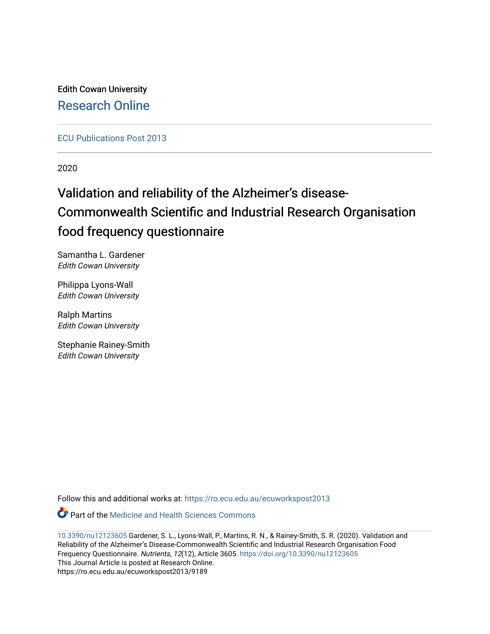Edith Cowan University [Research Online](https://ro.ecu.edu.au/) 

[ECU Publications Post 2013](https://ro.ecu.edu.au/ecuworkspost2013)

2020

# Validation and reliability of the Alzheimer's disease-Commonwealth Scientific and Industrial Research Organisation food frequency questionnaire

Samantha L. Gardener Edith Cowan University

Philippa Lyons-Wall Edith Cowan University

Ralph Martins Edith Cowan University

Stephanie Rainey-Smith Edith Cowan University

Follow this and additional works at: [https://ro.ecu.edu.au/ecuworkspost2013](https://ro.ecu.edu.au/ecuworkspost2013?utm_source=ro.ecu.edu.au%2Fecuworkspost2013%2F9189&utm_medium=PDF&utm_campaign=PDFCoverPages) 

Part of the [Medicine and Health Sciences Commons](http://network.bepress.com/hgg/discipline/648?utm_source=ro.ecu.edu.au%2Fecuworkspost2013%2F9189&utm_medium=PDF&utm_campaign=PDFCoverPages) 

[10.3390/nu12123605](http://dx.doi.org/10.3390/nu12123605) Gardener, S. L., Lyons-Wall, P., Martins, R. N., & Rainey-Smith, S. R. (2020). Validation and Reliability of the Alzheimer's Disease-Commonwealth Scientific and Industrial Research Organisation Food Frequency Questionnaire. Nutrients, 12(12), Article 3605. <https://doi.org/10.3390/nu12123605> This Journal Article is posted at Research Online. https://ro.ecu.edu.au/ecuworkspost2013/9189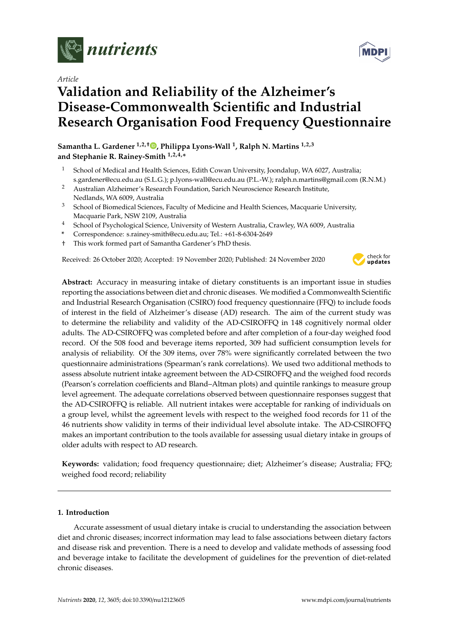

*Article*

## **Validation and Reliability of the Alzheimer's Disease-Commonwealth Scientific and Industrial Research Organisation Food Frequency Questionnaire**

**Samantha L. Gardener 1,2,**† **[,](https://orcid.org/0000-0002-1933-5260) Philippa Lyons-Wall <sup>1</sup> , Ralph N. Martins 1,2,3 and Stephanie R. Rainey-Smith 1,2,4,\***

- <sup>1</sup> School of Medical and Health Sciences, Edith Cowan University, Joondalup, WA 6027, Australia; s.gardener@ecu.edu.au (S.L.G.); p.lyons-wall@ecu.edu.au (P.L.-W.); ralph.n.martins@gmail.com (R.N.M.)
- <sup>2</sup> Australian Alzheimer's Research Foundation, Sarich Neuroscience Research Institute, Nedlands, WA 6009, Australia
- <sup>3</sup> School of Biomedical Sciences, Faculty of Medicine and Health Sciences, Macquarie University, Macquarie Park, NSW 2109, Australia
- <sup>4</sup> School of Psychological Science, University of Western Australia, Crawley, WA 6009, Australia
- **\*** Correspondence: s.rainey-smith@ecu.edu.au; Tel.: +61-8-6304-2649
- † This work formed part of Samantha Gardener's PhD thesis.

Received: 26 October 2020; Accepted: 19 November 2020; Published: 24 November 2020



**Abstract:** Accuracy in measuring intake of dietary constituents is an important issue in studies reporting the associations between diet and chronic diseases. We modified a Commonwealth Scientific and Industrial Research Organisation (CSIRO) food frequency questionnaire (FFQ) to include foods of interest in the field of Alzheimer's disease (AD) research. The aim of the current study was to determine the reliability and validity of the AD-CSIROFFQ in 148 cognitively normal older adults. The AD-CSIROFFQ was completed before and after completion of a four-day weighed food record. Of the 508 food and beverage items reported, 309 had sufficient consumption levels for analysis of reliability. Of the 309 items, over 78% were significantly correlated between the two questionnaire administrations (Spearman's rank correlations). We used two additional methods to assess absolute nutrient intake agreement between the AD-CSIROFFQ and the weighed food records (Pearson's correlation coefficients and Bland–Altman plots) and quintile rankings to measure group level agreement. The adequate correlations observed between questionnaire responses suggest that the AD-CSIROFFQ is reliable. All nutrient intakes were acceptable for ranking of individuals on a group level, whilst the agreement levels with respect to the weighed food records for 11 of the 46 nutrients show validity in terms of their individual level absolute intake. The AD-CSIROFFQ makes an important contribution to the tools available for assessing usual dietary intake in groups of older adults with respect to AD research.

**Keywords:** validation; food frequency questionnaire; diet; Alzheimer's disease; Australia; FFQ; weighed food record; reliability

#### **1. Introduction**

Accurate assessment of usual dietary intake is crucial to understanding the association between diet and chronic diseases; incorrect information may lead to false associations between dietary factors and disease risk and prevention. There is a need to develop and validate methods of assessing food and beverage intake to facilitate the development of guidelines for the prevention of diet-related chronic diseases.

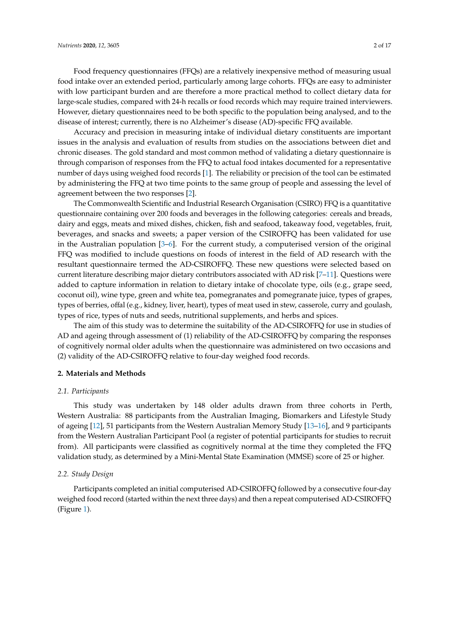Food frequency questionnaires (FFQs) are a relatively inexpensive method of measuring usual food intake over an extended period, particularly among large cohorts. FFQs are easy to administer with low participant burden and are therefore a more practical method to collect dietary data for large-scale studies, compared with 24-h recalls or food records which may require trained interviewers. However, dietary questionnaires need to be both specific to the population being analysed, and to the disease of interest; currently, there is no Alzheimer's disease (AD)-specific FFQ available.

Accuracy and precision in measuring intake of individual dietary constituents are important issues in the analysis and evaluation of results from studies on the associations between diet and chronic diseases. The gold standard and most common method of validating a dietary questionnaire is through comparison of responses from the FFQ to actual food intakes documented for a representative number of days using weighed food records [\[1\]](#page-16-0). The reliability or precision of the tool can be estimated by administering the FFQ at two time points to the same group of people and assessing the level of agreement between the two responses [\[2\]](#page-16-1).

The Commonwealth Scientific and Industrial Research Organisation (CSIRO) FFQ is a quantitative questionnaire containing over 200 foods and beverages in the following categories: cereals and breads, dairy and eggs, meats and mixed dishes, chicken, fish and seafood, takeaway food, vegetables, fruit, beverages, and snacks and sweets; a paper version of the CSIROFFQ has been validated for use in the Australian population  $[3-6]$  $[3-6]$ . For the current study, a computerised version of the original FFQ was modified to include questions on foods of interest in the field of AD research with the resultant questionnaire termed the AD-CSIROFFQ. These new questions were selected based on current literature describing major dietary contributors associated with AD risk [\[7–](#page-17-1)[11\]](#page-17-2). Questions were added to capture information in relation to dietary intake of chocolate type, oils (e.g., grape seed, coconut oil), wine type, green and white tea, pomegranates and pomegranate juice, types of grapes, types of berries, offal (e.g., kidney, liver, heart), types of meat used in stew, casserole, curry and goulash, types of rice, types of nuts and seeds, nutritional supplements, and herbs and spices.

The aim of this study was to determine the suitability of the AD-CSIROFFQ for use in studies of AD and ageing through assessment of (1) reliability of the AD-CSIROFFQ by comparing the responses of cognitively normal older adults when the questionnaire was administered on two occasions and (2) validity of the AD-CSIROFFQ relative to four-day weighed food records.

#### **2. Materials and Methods**

#### *2.1. Participants*

This study was undertaken by 148 older adults drawn from three cohorts in Perth, Western Australia: 88 participants from the Australian Imaging, Biomarkers and Lifestyle Study of ageing [\[12\]](#page-17-3), 51 participants from the Western Australian Memory Study [\[13–](#page-17-4)[16\]](#page-17-5), and 9 participants from the Western Australian Participant Pool (a register of potential participants for studies to recruit from). All participants were classified as cognitively normal at the time they completed the FFQ validation study, as determined by a Mini-Mental State Examination (MMSE) score of 25 or higher.

#### *2.2. Study Design*

Participants completed an initial computerised AD-CSIROFFQ followed by a consecutive four-day weighed food record (started within the next three days) and then a repeat computerised AD-CSIROFFQ (Figure [1\)](#page-3-0).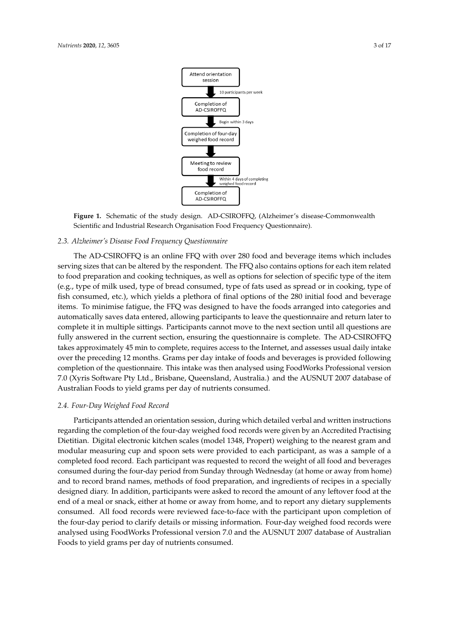<span id="page-3-0"></span>

**Figure 1.** Schematic of the study design. AD-CSIROFFQ, (Alzheimer's disease-Commonwealth **Figure 1.** Schematic of the study design. AD-CSIROFFQ, (Alzheimer's disease-Commonwealth Scientific and Industrial Research Organisation Food Frequency Questionnaire). Scientific and Industrial Research Organisation Food Frequency Questionnaire).

#### *2.3. Alzheimer's Disease Food Frequency Questionnaire 2.3. Alzheimer's Disease Food Frequency Questionnaire*

serving sizes that can be altered by the respondent. The FFQ also contains options for each item related to food preparation and cooking techniques, as well as options for selection of specific type of the item (e.g., type of milk used, type of bread consumed, type of fats used as spread or in cooking, type of fish consumed, etc.), which yields a plethora of final options of the  $280$  initial food and beverage items. To minimise fatigue, the FFQ was designed to have the foods arranged into categories and automatically saves data entered, allowing participants to leave the questionnaire and return later to complete it in multiple sittings. Participants cannot move to the next section until all questions are fully answered in the current section, ensuring the questionnaire is complete. The AD-CSIROFFQ takes approximately 45 min to complete, requires access to the Internet, and assesses usual daily intake over the preceding 12 months. Grams per day intake of foods and beverages is provided following completion of the questionnaire. This intake was then analysed using FoodWorks Professional version 7.0 (Xyris Software Pty Ltd., Brisbane, Queensland, Australia.) and the AUSNUT 2007 database of Australian Foods to yield grams per day of nutrients consumed.  $2007$  database of  $40$ The AD-CSIROFFQ is an online FFQ with over 280 food and beverage items which includes

#### *2.4. Four-Day Weighed Food Record*

*2.4. Four-Day Weighed Food Record*  regarding the completion of the four-day weighed food records were given by an Accredited Practising Dietitian. Digital electronic kitchen scales (model 1348, Propert) weighing to the nearest gram and modular measuring cup and spoon sets were provided to each participant, as was a sample of a completed food record. Each participant was requested to record the weight of all food and beverages consumed during the four-day period from Sunday through Wednesday (at home or away from home) and to record brand names, methods of food preparation, and ingredients of recipes in a specially designed diary. In addition, participants were asked to record the amount of any leftover food at the end of a meal or snack, either at home or away from home, and to report any dietary supplements consumed. All food records were reviewed face-to-face with the participant upon completion of the four-day period to clarify details or missing information. Four-day weighed food records were analysed using FoodWorks Professional version 7.0 and the AUSNUT 2007 database of Australian Foods to yield grams per day of nutrients consumed. Participants attended an orientation session, during which detailed verbal and written instructions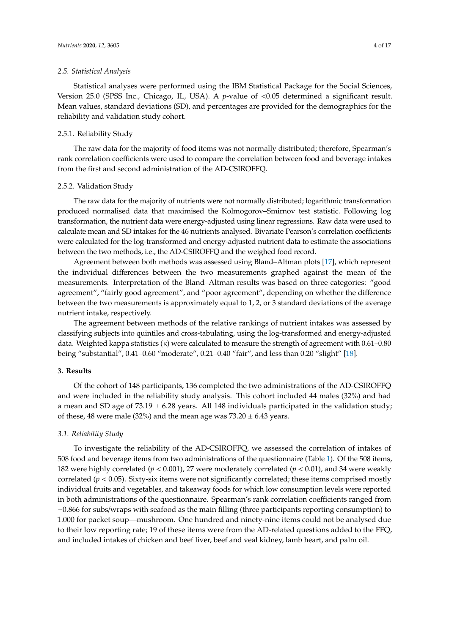#### *2.5. Statistical Analysis*

Statistical analyses were performed using the IBM Statistical Package for the Social Sciences, Version 25.0 (SPSS Inc., Chicago, IL, USA). A *p*-value of <0.05 determined a significant result. Mean values, standard deviations (SD), and percentages are provided for the demographics for the reliability and validation study cohort.

#### 2.5.1. Reliability Study

The raw data for the majority of food items was not normally distributed; therefore, Spearman's rank correlation coefficients were used to compare the correlation between food and beverage intakes from the first and second administration of the AD-CSIROFFQ.

#### 2.5.2. Validation Study

The raw data for the majority of nutrients were not normally distributed; logarithmic transformation produced normalised data that maximised the Kolmogorov–Smirnov test statistic. Following log transformation, the nutrient data were energy-adjusted using linear regressions. Raw data were used to calculate mean and SD intakes for the 46 nutrients analysed. Bivariate Pearson's correlation coefficients were calculated for the log-transformed and energy-adjusted nutrient data to estimate the associations between the two methods, i.e., the AD-CSIROFFQ and the weighed food record.

Agreement between both methods was assessed using Bland–Altman plots [\[17\]](#page-17-6), which represent the individual differences between the two measurements graphed against the mean of the measurements. Interpretation of the Bland–Altman results was based on three categories: "good agreement", "fairly good agreement", and "poor agreement", depending on whether the difference between the two measurements is approximately equal to 1, 2, or 3 standard deviations of the average nutrient intake, respectively.

The agreement between methods of the relative rankings of nutrient intakes was assessed by classifying subjects into quintiles and cross-tabulating, using the log-transformed and energy-adjusted data. Weighted kappa statistics (κ) were calculated to measure the strength of agreement with 0.61–0.80 being "substantial", 0.41–0.60 "moderate", 0.21–0.40 "fair", and less than 0.20 "slight" [\[18\]](#page-17-7).

#### **3. Results**

Of the cohort of 148 participants, 136 completed the two administrations of the AD-CSIROFFQ and were included in the reliability study analysis. This cohort included 44 males (32%) and had a mean and SD age of  $73.19 \pm 6.28$  years. All 148 individuals participated in the validation study; of these, 48 were male (32%) and the mean age was  $73.20 \pm 6.43$  years.

#### *3.1. Reliability Study*

To investigate the reliability of the AD-CSIROFFQ, we assessed the correlation of intakes of 508 food and beverage items from two administrations of the questionnaire (Table [1\)](#page-8-0). Of the 508 items, 182 were highly correlated (*p* < 0.001), 27 were moderately correlated (*p* < 0.01), and 34 were weakly correlated  $(p < 0.05)$ . Sixty-six items were not significantly correlated; these items comprised mostly individual fruits and vegetables, and takeaway foods for which low consumption levels were reported in both administrations of the questionnaire. Spearman's rank correlation coefficients ranged from −0.866 for subs/wraps with seafood as the main filling (three participants reporting consumption) to 1.000 for packet soup—mushroom. One hundred and ninety-nine items could not be analysed due to their low reporting rate; 19 of these items were from the AD-related questions added to the FFQ, and included intakes of chicken and beef liver, beef and veal kidney, lamb heart, and palm oil.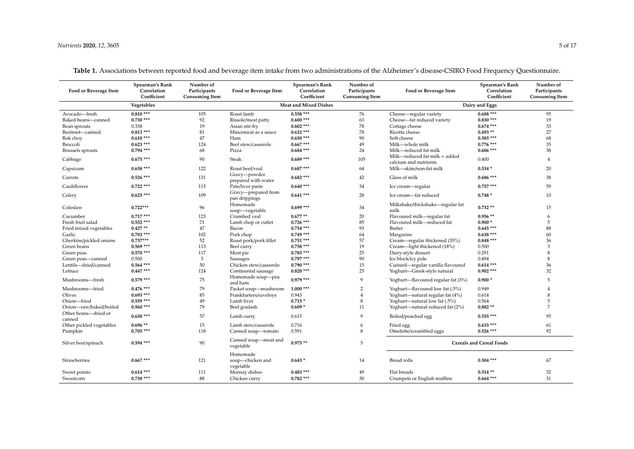| Food or Beverage Item          | Spearman's Rank<br>Correlation<br>Coefficient | Number of<br>Participants<br><b>Consuming Item</b> | Food or Beverage Item                     | Spearman's Rank<br>Correlation<br>Coefficient | Number of<br>Participants<br><b>Consuming Item</b> | Food or Beverage Item                                  | Spearman's Rank<br>Correlation<br>Coefficient | Number of<br>Participants<br><b>Consuming Item</b> |
|--------------------------------|-----------------------------------------------|----------------------------------------------------|-------------------------------------------|-----------------------------------------------|----------------------------------------------------|--------------------------------------------------------|-----------------------------------------------|----------------------------------------------------|
|                                | Vegetables                                    |                                                    |                                           | <b>Meat and Mixed Dishes</b>                  |                                                    |                                                        | Dairy and Eggs                                |                                                    |
| Avocado-fresh                  | $0.810***$                                    | 105                                                | Roast lamb                                | $0.558***$                                    | 76                                                 | Cheese-regular variety                                 | $0.688***$                                    | 95                                                 |
| Baked beans-canned             | $0.730$ ***                                   | 92                                                 | Rissole/meat patty                        | $0.600***$                                    | 63                                                 | Cheese-fat reduced variety                             | $0.830***$                                    | 19                                                 |
| Bean sprouts                   | 0.338                                         | 19                                                 | Asian stir-fry                            | $0.602$ ***                                   | 78                                                 | Cottage cheese                                         | $0.674$ ***                                   | 33                                                 |
| Beetroot-canned                | $0.813$ ***                                   | 81                                                 | Mincemeat as a sauce                      | $0.632***$                                    | 78                                                 | Ricotta cheese                                         | $0.493**$                                     | 27                                                 |
| Bok choy                       | $0.610***$                                    | 47                                                 | Ham                                       | $0.650***$                                    | 90                                                 | Soft cheese                                            | $0.585***$                                    | 68                                                 |
| Broccoli                       | $0.623$ ***                                   | 124                                                | Beef stew/casserole                       | $0.667$ ***                                   | 49                                                 | Milk-whole milk                                        | $0.776$ ***                                   | 35                                                 |
| <b>Brussels</b> sprouts        | $0.794$ ***                                   | 68                                                 | Pizza                                     | $0.684$ ***                                   | 24                                                 | Milk-reduced fat milk                                  | $0.606***$                                    | 38                                                 |
| Cabbage                        | $0.675$ ***                                   | 90                                                 | <b>Steak</b>                              | $0.689$ ***                                   | 105                                                | Milk-reduced fat milk + added<br>calcium and nutrients | 0.400                                         | $\overline{A}$                                     |
| Capsicum                       | $0.658$ ***                                   | 122                                                | Roast beef/veal                           | $0.687***$                                    | 64                                                 | Milk-skim/non-fat milk                                 | $0.534*$                                      | 20                                                 |
| Carrots                        | $0.526$ ***                                   | 131                                                | Gravy-powder<br>prepared with water       | $0.682$ ***                                   | 42                                                 | Glass of milk                                          | $0.686***$                                    | 38                                                 |
| Cauliflower                    | $0.722$ ***                                   | 115                                                | Pate/liver paste                          | $0.640***$                                    | 34                                                 | Ice cream—regular                                      | $0.757***$                                    | 59                                                 |
| Celery                         | $0.625***$                                    | 109                                                | Gravy-prepared from<br>pan drippings      | $0.641***$                                    | 28                                                 | Ice cream-fat reduced                                  | $0.748*$                                      | 10                                                 |
| Coleslaw                       | $0.722***$                                    | 96                                                 | Homemade<br>soup-vegetable                | $0.699***$                                    | 34                                                 | Milkshake/thickshake-regular fat<br>milk               | $0.732**$                                     | 15                                                 |
| Cucumber                       | $0.717***$                                    | 123                                                | Crumbed yeal                              | $0.677**$                                     | 20                                                 | Flavoured milk-regular fat                             | $0.956**$                                     | -6                                                 |
| Fresh fruit salad              | $0.552$ ***                                   | 71                                                 | Lamb chop or cutlet                       | $0.726$ ***                                   | 85                                                 | Flavoured milk-reduced fat                             | $0.900*$                                      | .5                                                 |
| Fried mixed vegetables         | $0.427**$                                     | 47                                                 | Bacon                                     | $0.734$ ***                                   | 93                                                 | Butter                                                 | $0.645***$                                    | 88                                                 |
| Garlic                         | $0.703$ ***                                   | 102                                                | Pork chop                                 | $0.749$ ***                                   | 64                                                 | Margarine                                              | $0.638***$                                    | 60                                                 |
| Gherkins/pickled onions        | $0.737***$                                    | 52                                                 | Roast pork/pork fillet                    | $0.751$ ***                                   | 57                                                 | Cream—regular thickened (35%)                          | $0.848***$                                    | 36                                                 |
| Green beans                    | $0.569$ ***                                   | 113                                                | Beef curry                                | $0.758$ ***                                   | 19                                                 | Cream-light thickened (18%)                            | 0.500                                         | 3                                                  |
| Green peas                     | $0.570$ ***                                   | 117                                                | Meat pie                                  | $0.785***$                                    | 25                                                 | Dairy-style dessert                                    | 0.291                                         | 8                                                  |
| Green peas-canned              | 0.500                                         | 3                                                  | Sausages                                  | $0.797***$                                    | 90                                                 | Ice block/icy pole                                     | 0.494                                         | 8                                                  |
| Lentils-dried/canned           | $0.564$ ***                                   | 50                                                 | Chicken stew/casserole                    | $0.790$ ***                                   | 15                                                 | Custard-regular vanilla flavoured                      | $0.614***$                                    | 36                                                 |
| Lettuce                        | $0.447$ ***                                   | 124                                                | Continental sausage                       | $0.820$ ***                                   | 25                                                 | Yoghurt-Greek-style natural                            | $0.902$ ***                                   | 32                                                 |
| Mushrooms-fresh                | $0.579$ ***                                   | 75                                                 | Homemade soup-pea<br>and ham              | $0.979***$                                    | $\mathbf{q}$                                       | Yoghurt-flavoured regular fat (3%)                     | $0.900*$                                      | 5                                                  |
| Mushrooms-fried                | $0.476$ ***                                   | 79                                                 | Packet soup-mushroom                      | $1.000$ ***                                   | $\overline{2}$                                     | Yoghurt—flavoured low fat (.5%)                        | 0.949                                         |                                                    |
| Olives                         | $0.693$ ***                                   | 85                                                 | Frankfurters/saveloys                     | 0.943                                         | $\overline{4}$                                     | Yoghurt—natural regular fat (4%)                       | 0.614                                         | 8                                                  |
| Onion-fried                    | $0.559$ ***                                   | 49                                                 | Lamb liver                                | $0.715*$                                      | 8                                                  | Yoghurt-natural low fat (.5%)                          | 0.564                                         | 5                                                  |
| Onion-raw/baked/boiled         | $0.560$ ***                                   | 79                                                 | Beef goulash                              | $0.609*$                                      | 11                                                 | Yoghurt-natural reduced fat (2%)                       | $0.882**$                                     | 7                                                  |
| Other beans-dried or<br>canned | $0.650$ ***                                   | 57                                                 | Lamb curry                                | 0.615                                         | 9                                                  | Boiled/poached egg                                     | $0.555***$                                    | 95                                                 |
| Other pickled vegetables       | $0.696**$                                     | 15                                                 | Lamb stew/casserole                       | 0.716                                         | 6                                                  | Fried egg                                              | $0.633***$                                    | 61                                                 |
| Pumpkin                        | $0.705***$                                    | 118                                                | Canned soup-tomato                        | 0.591                                         | 8                                                  | Omelette/scrambled eggs                                | $0.526$ ***                                   | 92                                                 |
| Silver beet/spinach            | $0.594$ ***                                   | 90                                                 | Canned soup-meat and<br>vegetable         | $0.975**$                                     | .5                                                 |                                                        | <b>Cereals and Cereal Foods</b>               |                                                    |
| Strawberries                   | $0.667$ ***                                   | 121                                                | Homemade<br>soup-chicken and<br>vegetable | $0.643*$                                      | 14                                                 | Bread rolls                                            | $0.504$ ***                                   | 67                                                 |
| Sweet potato                   | $0.614***$                                    | 111                                                | Mornay dishes                             | $0.483$ ***                                   | 49                                                 | Flat breads                                            | $0.514**$                                     | 32                                                 |
| Sweetcorn                      | $0.738$ ***                                   | 88                                                 | Chicken curry                             | $0.782$ ***                                   | 30                                                 | Crumpets or English muffins                            | $0.664$ ***                                   | 31                                                 |

**Table 1.** Associations between reported food and beverage item intake from two administrations of the Alzheimer's disease-CSIRO Food Frequency Questionnaire.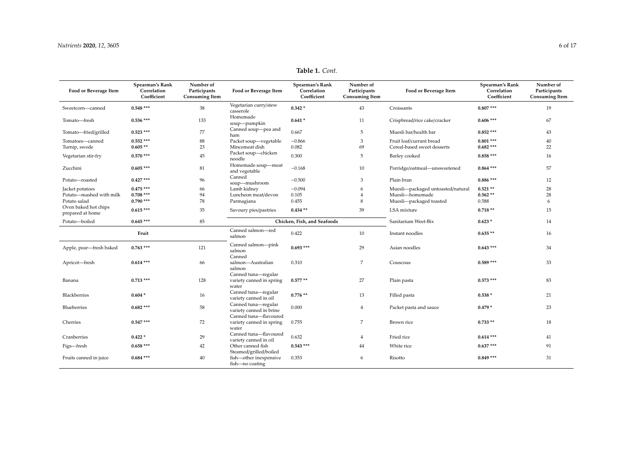| Food or Beverage Item                    | Spearman's Rank<br>Correlation<br>Coefficient | Number of<br>Participants<br><b>Consuming Item</b> | Food or Beverage Item                                      | Spearman's Rank<br>Correlation<br>Coefficient | Number of<br>Participants<br><b>Consuming Item</b> | Food or Beverage Item             | Spearman's Rank<br>Correlation<br>Coefficient | Number of<br>Participants<br><b>Consuming Item</b> |
|------------------------------------------|-----------------------------------------------|----------------------------------------------------|------------------------------------------------------------|-----------------------------------------------|----------------------------------------------------|-----------------------------------|-----------------------------------------------|----------------------------------------------------|
| Sweetcorn-canned                         | $0.548$ ***                                   | 38                                                 | Vegetarian curry/stew<br>casserole                         | $0.342*$                                      | 43                                                 | Croissants                        | $0.807$ ***                                   | 19                                                 |
| Tomato-fresh                             | $0.536$ ***                                   | 133                                                | Homemade<br>soup-pumpkin                                   | $0.641*$                                      | 11                                                 | Crispbread/rice cake/cracker      | $0.606$ ***                                   | 67                                                 |
| Tomato-fried/grilled                     | $0.523$ ***                                   | 77                                                 | Canned soup-pea and<br>ham                                 | 0.667                                         | 5                                                  | Muesli bar/health bar             | $0.852$ ***                                   | 43                                                 |
| Tomatoes-canned                          | $0.552$ ***                                   | 88                                                 | Packet soup-vegetable                                      | $-0.866$                                      | 3                                                  | Fruit loaf/currant bread          | $0.801$ ***                                   | 40                                                 |
| Turnip, swede                            | $0.605**$                                     | 23                                                 | Mincemeat dish                                             | 0.082                                         | 69                                                 | Cereal-based sweet desserts       | $0.682$ ***                                   | 22                                                 |
| Vegetarian stir-fry                      | $0.570$ ***                                   | 45                                                 | Packet soup-chicken<br>noodle                              | 0.300                                         | 5                                                  | Barley cooked                     | $0.858***$                                    | 16                                                 |
| Zucchini                                 | $0.605***$                                    | 81                                                 | Homemade soup-meat<br>and vegetable                        | $-0.168$                                      | 10                                                 | Porridge/oatmeal-unsweetened      | $0.864$ ***                                   | 57                                                 |
| Potato-roasted                           | $0.427$ ***                                   | 96                                                 | Canned<br>soup-mushroom                                    | $-0.500$                                      | 3                                                  | Plain bran                        | $0.886$ ***                                   | 12                                                 |
| Jacket potatoes                          | $0.475***$                                    | 66                                                 | Lamb kidney                                                | $-0.094$                                      | 6                                                  | Muesli-packaged untoasted/natural | $0.521**$                                     | 28                                                 |
| Potato-mashed with milk                  | $0.708$ ***                                   | 94                                                 | Luncheon meat/devon                                        | 0.105                                         | $\overline{4}$                                     | Muesli-homemade                   | $0.562**$                                     | 28                                                 |
| Potato salad                             | $0.790$ ***                                   | 78                                                 | Parmagiana                                                 | 0.455                                         | 8                                                  | Muesli-packaged toasted           | 0.588                                         | 6                                                  |
| Oven baked hot chips<br>prepared at home | $0.615***$                                    | 35                                                 | Savoury pies/pastries                                      | $0.434**$                                     | 39                                                 | LSA mixture                       | $0.718**$                                     | 15                                                 |
| Potato-boiled                            | $0.645***$                                    | 85                                                 |                                                            | Chicken, Fish, and Seafoods                   |                                                    | Sanitarium Weet-Bix               | $0.623*$                                      | 14                                                 |
|                                          | Fruit                                         |                                                    | Canned salmon-red<br>salmon                                | 0.422                                         | 10                                                 | Instant noodles                   | $0.635**$                                     | 16                                                 |
| Apple, pear-fresh baked                  | $0.763$ ***                                   | 121                                                | Canned salmon-pink<br>salmon                               | $0.693$ ***                                   | 29                                                 | Asian noodles                     | $0.643$ ***                                   | 34                                                 |
| Apricot-fresh                            | $0.614***$                                    | 66                                                 | Canned<br>salmon-Australian<br>salmon                      | 0.310                                         | 7                                                  | Couscous                          | $0.589$ ***                                   | 33                                                 |
| Banana                                   | $0.713$ ***                                   | 128                                                | Canned tuna-regular<br>variety canned in spring<br>water   | $0.577**$                                     | 27                                                 | Plain pasta                       | $0.573$ ***                                   | 83                                                 |
| Blackberries                             | $0.604*$                                      | 16                                                 | Canned tuna-regular<br>variety canned in oil               | $0.776**$                                     | 13                                                 | Filled pasta                      | $0.538*$                                      | 21                                                 |
| Blueberries                              | $0.682$ ***                                   | 58                                                 | Canned tuna-regular<br>variety canned in brine             | 0.000                                         | $\overline{4}$                                     | Packet pasta and sauce            | $0.479*$                                      | 23                                                 |
| Cherries                                 | $0.547***$                                    | 72                                                 | Canned tuna-flavoured<br>variety canned in spring<br>water | 0.755                                         | 7                                                  | Brown rice                        | $0.733**$                                     | 18                                                 |
| Cranberries                              | $0.422*$                                      | 29                                                 | Canned tuna-flavoured<br>variety canned in oil             | 0.632                                         | $\overline{4}$                                     | Fried rice                        | $0.614$ ***                                   | 41                                                 |
| Figs-fresh                               | $0.658***$                                    | 42                                                 | Other canned fish<br>Steamed/grilled/boiled                | $0.543$ ***                                   | 44                                                 | White rice                        | $0.637***$                                    | 91                                                 |
| Fruits canned in juice                   | $0.684$ ***                                   | 40                                                 | fish-other inexpensive<br>fish-no coating                  | 0.353                                         | 6                                                  | Risotto                           | $0.849$ ***                                   | 31                                                 |

## **Table 1.** *Cont.*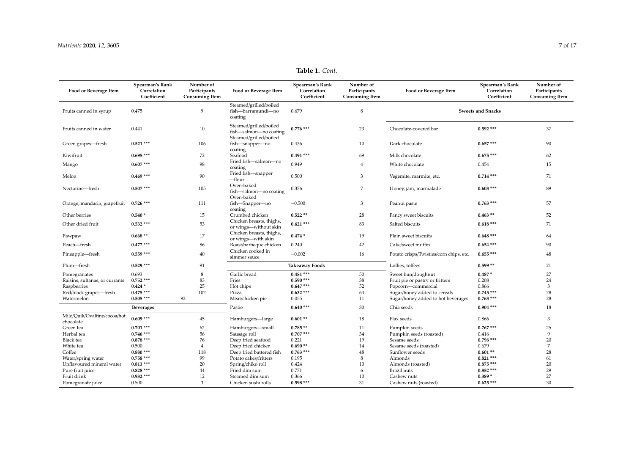| Food or Beverage Item                     | Spearman's Rank<br>Correlation | Number of<br>Participants | Food or Beverage Item                                                      | Spearman's Rank<br>Correlation | Number of<br>Participants | Food or Beverage Item                   | Spearman's Rank<br>Correlation | Number of<br>Participants |
|-------------------------------------------|--------------------------------|---------------------------|----------------------------------------------------------------------------|--------------------------------|---------------------------|-----------------------------------------|--------------------------------|---------------------------|
|                                           | Coefficient                    | <b>Consuming Item</b>     |                                                                            | Coefficient                    | <b>Consuming Item</b>     |                                         | Coefficient                    | <b>Consuming Item</b>     |
| Fruits canned in syrup                    | 0.475                          | 9                         | Steamed/grilled/boiled<br>fish-barramundi-no                               | 0.679                          | 8                         |                                         | <b>Sweets and Snacks</b>       |                           |
|                                           |                                |                           | coating                                                                    |                                |                           |                                         |                                |                           |
| Fruits canned in water                    | 0.441                          | 10                        | Steamed/grilled/boiled<br>fish-salmon-no coating<br>Steamed/grilled/boiled | $0.776$ ***                    | 23                        | Chocolate-covered bar                   | $0.592$ ***                    | 37                        |
| Green grapes-fresh                        | $0.521$ ***                    | 106                       | fish-snapper-no<br>coating                                                 | 0.436                          | 10                        | Dark chocolate                          | $0.657$ ***                    | 90                        |
| Kiwifruit                                 | $0.695***$                     | 72                        | Seafood                                                                    | $0.491***$                     | 69                        | Milk chocolate                          | $0.675***$                     | 62                        |
| Mango                                     | $0.607$ ***                    | 98                        | Fried fish-salmon-no<br>coating                                            | 0.949                          | $\overline{4}$            | White chocolate                         | 0.454                          | 15                        |
| Melon                                     | $0.469$ ***                    | 90                        | Fried fish-snapper<br>—flour                                               | 0.500                          | 3                         | Vegemite, marmite, etc.                 | $0.714$ ***                    | 71                        |
| Nectarine-fresh                           | $0.507$ ***                    | 105                       | Oven-baked<br>fish-salmon-no coating<br>Oven-baked                         | 0.376                          | 7                         | Honey, jam, marmalade                   | $0.603$ ***                    | 89                        |
| Orange, mandarin, grapefruit              | $0.726$ ***                    | 111                       | fish-Snapper-no<br>coating                                                 | $-0.500$                       | 3                         | Peanut paste                            | $0.763$ ***                    | 57                        |
| Other berries                             | $0.540*$                       | 15                        | Crumbed chicken                                                            | $0.522**$                      | 28                        | Fancy sweet biscuits                    | $0.463**$                      | 52                        |
| Other dried fruit                         | $0.532$ ***                    | 53                        | Chicken breasts, thighs,<br>or wings-without skin                          | $0.621$ ***                    | 83                        | Salted biscuits                         | $0.618***$                     | 71                        |
| Pawpaw                                    | $0.668**$                      | 17                        | Chicken breasts, thighs,<br>or wings-with skin                             | $0.474*$                       | 19                        | Plain sweet biscuits                    | $0.648$ ***                    | 64                        |
| Peach-fresh                               | $0.477$ ***                    | 86                        | Roast/barbeque chicken                                                     | 0.240                          | 42                        | Cake/sweet muffin                       | $0.654$ ***                    | 90                        |
| Pineapple—fresh                           | $0.559$ ***                    | 40                        | Chicken cooked in<br>simmer sauce                                          | $-0.002$                       | 16                        | Potato crisps/Twisties/corn chips, etc. | $0.655***$                     | 48                        |
| Plum-fresh                                | $0.529$ ***                    | 91                        |                                                                            | <b>Takeaway Foods</b>          |                           | Lollies, toffees                        | $0.599**$                      | 21                        |
| Pomegranates                              | 0.693                          | 8                         | Garlic bread                                                               | $0.481$ ***                    | 50                        | Sweet bun/doughnut                      | $0.487*$                       | 27                        |
| Raisins, sultanas, or currants            | $0.752$ ***                    | 83                        | Fries                                                                      | $0.590$ ***                    | 38                        | Fruit pie or pastry or fritters         | 0.208                          | 24                        |
| Raspberries                               | $0.424*$                       | 25                        | Hot chips                                                                  | $0.647***$                     | 52                        | Popcorn-commercial                      | 0.866                          | 3                         |
| Red/black grapes-fresh                    | $0.475$ ***                    | 102                       | Pizza                                                                      | $0.632$ ***                    | 64                        | Sugar/honey added to cereals            | $0.745***$                     | 28                        |
| Watermelon                                | $0.505***$                     | 92                        | Meat/chicken pie                                                           | 0.055                          | 11                        | Sugar/honey added to hot beverages      | $0.763$ ***                    | 28                        |
|                                           | <b>Beverages</b>               |                           | Pastie                                                                     | $0.640$ ***                    | 30                        | Chia seeds                              | $0.904$ ***                    | 18                        |
| Milo/Quik/Ovaltine/cocoa/hot<br>chocolate | $0.609$ ***                    | 45                        | Hamburgers-large                                                           | $0.601**$                      | 18                        | Flax seeds                              | 0.866                          | 3                         |
| Green tea                                 | $0.701$ ***                    | 62                        | Hamburgers-small                                                           | $0.785**$                      | 11                        | Pumpkin seeds                           | $0.767$ ***                    | 25                        |
| Herbal tea                                | $0.746$ ***                    | 56                        | Sausage roll                                                               | $0.707$ ***                    | 34                        | Pumpkin seeds (roasted)                 | 0.416                          | 9                         |
| Black tea                                 | $0.878$ ***                    | 76                        | Deep fried seafood                                                         | 0.221                          | 19                        | Sesame seeds                            | $0.796$ ***                    | 20                        |
| White tea                                 | 0.500                          | $\overline{4}$            | Deep fried chicken                                                         | $0.690**$                      | 14                        | Sesame seeds (roasted)                  | 0.679                          | $\overline{7}$            |
| Coffee                                    | $0.880$ ***                    | 118                       | Deep fried battered fish                                                   | $0.763$ ***                    | 48                        | Sunflower seeds                         | $0.601**$                      | 28                        |
| Water/spring water                        | $0.758$ ***                    | 99                        | Potato cakes/fritters                                                      | 0.195                          | 8                         | Almonds                                 | $0.821$ ***                    | 61                        |
| Unflavoured mineral water                 | $0.813***$                     | 20                        | Spring/chiko roll                                                          | 0.424                          | 10                        | Almonds (roasted)                       | $0.875***$                     | 20                        |
| Pure fruit juice                          | $0.828$ ***                    | 44                        | Fried dim sum                                                              | 0.771                          | 6                         | Brazil nuts                             | $0.852$ ***                    | 29                        |
| Fruit drink                               | $0.932$ ***                    | 12                        | Steamed dim sum                                                            | 0.366                          | 10                        | Cashew nuts                             | $0.389*$                       | 27                        |
| Pomegranate juice                         | 0.500                          | 3                         | Chicken sushi rolls                                                        | $0.598$ ***                    | 31                        | Cashew nuts (roasted)                   | $0.625***$                     | 30                        |

## **Table 1.** *Cont.*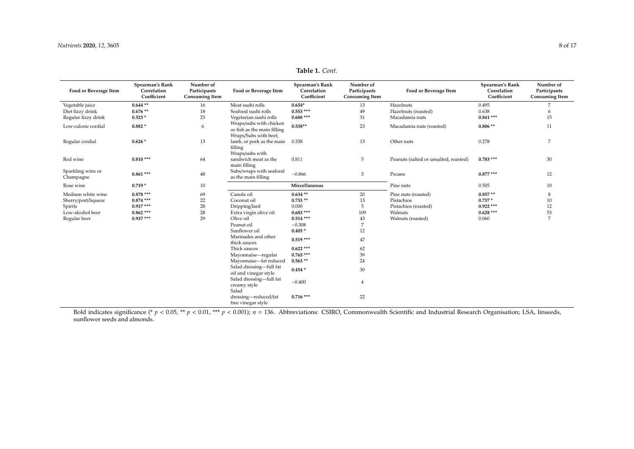| эf | Food or Beverage Item | Spearman's Rank | Numbe    |
|----|-----------------------|-----------------|----------|
| ts |                       | Correlation     | Particip |

| Table 1. Cont. |  |  |
|----------------|--|--|
|----------------|--|--|

| Food or Beverage Item          | Spearman's Rank<br>Correlation<br>Coefficient | Number of<br>Participants<br><b>Consuming Item</b> | Food or Beverage Item                                                           | Spearman's Rank<br>Correlation<br>Coefficient | Number of<br>Participants<br><b>Consuming Item</b> | Food or Beverage Item                 | Spearman's Rank<br>Correlation<br>Coefficient | Number of<br>Participants<br><b>Consuming Item</b> |
|--------------------------------|-----------------------------------------------|----------------------------------------------------|---------------------------------------------------------------------------------|-----------------------------------------------|----------------------------------------------------|---------------------------------------|-----------------------------------------------|----------------------------------------------------|
| Vegetable juice                | $0.644**$                                     | 16                                                 | Meat sushi rolls                                                                | $0.654*$                                      | 13                                                 | Hazelnuts                             | 0.495                                         | 7                                                  |
| Diet fizzy drink               | $0.676**$                                     | 18                                                 | Seafood sushi rolls                                                             | $0.553$ ***                                   | 49                                                 | Hazelnuts (roasted)                   | 0.638                                         | 6                                                  |
| Regular fizzy drink            | $0.523*$                                      | 23                                                 | Vegetarian sushi rolls                                                          | $0.688***$                                    | 31                                                 | Macadamia nuts                        | $0.841***$                                    | 15                                                 |
| Low-calorie cordial            | $0.882*$                                      | 6                                                  | Wraps/subs with chicken<br>or fish as the main filling<br>Wraps/Subs with beef, | $0.538**$                                     | 23                                                 | Macadamia nuts (roasted)              | $0.806**$                                     | 11                                                 |
| Regular cordial                | $0.626*$                                      | 13                                                 | lamb, or pork as the main<br>filling<br>Wraps/subs with                         | 0.338                                         | 13                                                 | Other nuts                            | 0.278                                         | $\overline{7}$                                     |
| Red wine                       | $0.810***$                                    | 64                                                 | sandwich meat as the<br>main filling                                            | 0.811                                         | 5                                                  | Peanuts (salted or unsalted, roasted) | $0.783$ ***                                   | 30                                                 |
| Sparkling wine or<br>Champagne | $0.861***$                                    | 48                                                 | Subs/wraps with seafood<br>as the main filling                                  | $-0.866$                                      | 3                                                  | Pecans                                | $0.877***$                                    | 12                                                 |
| Rose wine                      | $0.719*$                                      | 10                                                 |                                                                                 | Miscellaneous                                 |                                                    | Pine nuts                             | 0.505                                         | 10                                                 |
| Medium white wine              | $0.878$ ***                                   | 69                                                 | Canola oil                                                                      | $0.634**$                                     | 20                                                 | Pine nuts (roasted)                   | $0.857**$                                     | 8                                                  |
| Sherry/port/liqueur            | $0.874$ ***                                   | 22                                                 | Coconut oil                                                                     | $0.733**$                                     | 13                                                 | Pistachios                            | $0.737*$                                      | 10                                                 |
| Spirits                        | $0.917***$                                    | 28                                                 | Dripping/lard                                                                   | 0.000                                         | 5                                                  | Pistachios (roasted)                  | $0.922***$                                    | 12                                                 |
| Low-alcohol beer               | $0.862$ ***                                   | 28                                                 | Extra virgin olive oil                                                          | $0.683***$                                    | 109                                                | Walnuts                               | $0.628$ ***                                   | 53                                                 |
| Regular beer                   | $0.937***$                                    | 29                                                 | Olive oil                                                                       | $0.514$ ***                                   | 43                                                 | Walnuts (roasted)                     | 0.060                                         | 7                                                  |
|                                |                                               |                                                    | Peanut oil                                                                      | $-0.308$                                      | 7                                                  |                                       |                                               |                                                    |
|                                |                                               |                                                    | Sunflower oil                                                                   | $0.405*$                                      | 12                                                 |                                       |                                               |                                                    |
|                                |                                               |                                                    | Marinades and other<br>thick sauces                                             | $0.519***$                                    | 47                                                 |                                       |                                               |                                                    |
|                                |                                               |                                                    | Thick sauces                                                                    | $0.622$ ***                                   | 62                                                 |                                       |                                               |                                                    |
|                                |                                               |                                                    | Mayonnaise-regular                                                              | $0.765***$                                    | 39                                                 |                                       |                                               |                                                    |
|                                |                                               |                                                    | Mayonnaise-fat reduced                                                          | $0.563**$                                     | 24                                                 |                                       |                                               |                                                    |
|                                |                                               |                                                    | Salad dressing-full fat<br>oil and vinegar style                                | $0.454*$                                      | 30                                                 |                                       |                                               |                                                    |
|                                |                                               |                                                    | Salad dressing-full fat<br>creamy style<br>Salad                                | $-0.400$                                      | 4                                                  |                                       |                                               |                                                    |
|                                |                                               |                                                    | dressing-reduced/fat<br>free vinegar style                                      | $0.716$ ***                                   | 22                                                 |                                       |                                               |                                                    |

<span id="page-8-0"></span>Bold indicates significance (\* *p* < 0.05, \*\* *p* < 0.01, \*\*\* *p* < 0.001); *n* = 136. Abbreviations: CSIRO, Commonwealth Scientific and Industrial Research Organisation; LSA, linseeds, sunflower seeds and almonds.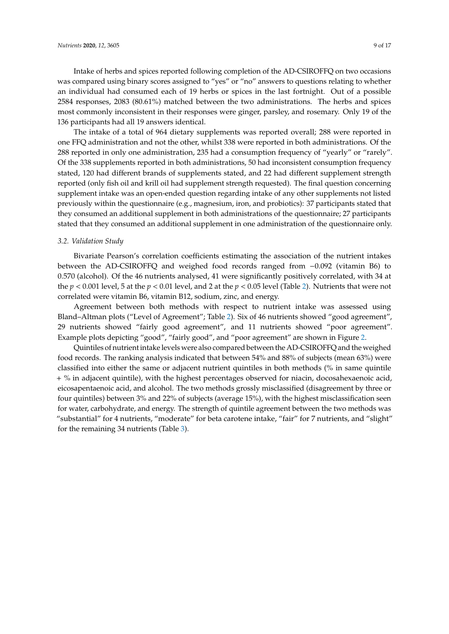Intake of herbs and spices reported following completion of the AD-CSIROFFQ on two occasions was compared using binary scores assigned to "yes" or "no" answers to questions relating to whether an individual had consumed each of 19 herbs or spices in the last fortnight. Out of a possible 2584 responses, 2083 (80.61%) matched between the two administrations. The herbs and spices most commonly inconsistent in their responses were ginger, parsley, and rosemary. Only 19 of the 136 participants had all 19 answers identical.

The intake of a total of 964 dietary supplements was reported overall; 288 were reported in one FFQ administration and not the other, whilst 338 were reported in both administrations. Of the 288 reported in only one administration, 235 had a consumption frequency of "yearly" or "rarely". Of the 338 supplements reported in both administrations, 50 had inconsistent consumption frequency stated, 120 had different brands of supplements stated, and 22 had different supplement strength reported (only fish oil and krill oil had supplement strength requested). The final question concerning supplement intake was an open-ended question regarding intake of any other supplements not listed previously within the questionnaire (e.g., magnesium, iron, and probiotics): 37 participants stated that they consumed an additional supplement in both administrations of the questionnaire; 27 participants stated that they consumed an additional supplement in one administration of the questionnaire only.

#### *3.2. Validation Study*

Bivariate Pearson's correlation coefficients estimating the association of the nutrient intakes between the AD-CSIROFFQ and weighed food records ranged from −0.092 (vitamin B6) to 0.570 (alcohol). Of the 46 nutrients analysed, 41 were significantly positively correlated, with 34 at the  $p < 0.001$  level, 5 at the  $p < 0.01$  level, and 2 at the  $p < 0.05$  level (Table [2\)](#page-12-0). Nutrients that were not correlated were vitamin B6, vitamin B12, sodium, zinc, and energy.

Agreement between both methods with respect to nutrient intake was assessed using Bland–Altman plots ("Level of Agreement"; Table [2\)](#page-12-0). Six of 46 nutrients showed "good agreement", 29 nutrients showed "fairly good agreement", and 11 nutrients showed "poor agreement". Example plots depicting "good", "fairly good", and "poor agreement" are shown in Figure [2.](#page-10-0)

Quintiles of nutrient intake levels were also compared between the AD-CSIROFFQ and the weighed food records. The ranking analysis indicated that between 54% and 88% of subjects (mean 63%) were classified into either the same or adjacent nutrient quintiles in both methods (% in same quintile + % in adjacent quintile), with the highest percentages observed for niacin, docosahexaenoic acid, eicosapentaenoic acid, and alcohol. The two methods grossly misclassified (disagreement by three or four quintiles) between 3% and 22% of subjects (average 15%), with the highest misclassification seen for water, carbohydrate, and energy. The strength of quintile agreement between the two methods was "substantial" for 4 nutrients, "moderate" for beta carotene intake, "fair" for 7 nutrients, and "slight" for the remaining 34 nutrients (Table [3\)](#page-14-0).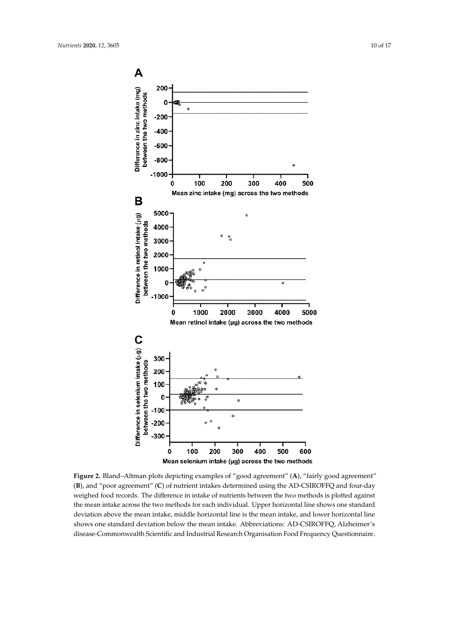<span id="page-10-0"></span>

**Figure 2.** Bland–Altman plots depicting examples of "good agreement" (**A**), "fairly good agreement" (**B**), and "poor agreement" (**C**) of nutrient intakes determined using the AD-CSIROFFQ and four-day weighed food records. The difference in intake of nutrients between the two methods is plotted against the mean intake across the two methods for each individual. Upper horizontal line shows one standard deviation above the mean intake, middle horizontal line is the mean intake, and lower horizontal line shows one standard deviation below the mean intake. Abbreviations: AD-CSIROFFQ, Alzheimer's disease-Commonwealth Scientific and Industrial Research Organisation Food Frequency Questionnaire.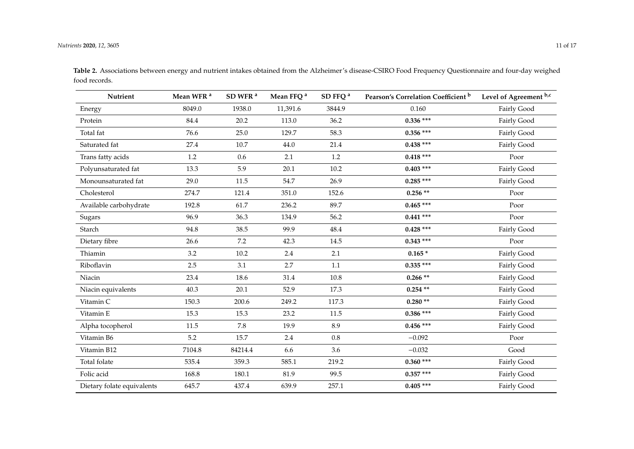| Nutrient                   | Mean WFR <sup>a</sup> | SD WFR <sup>a</sup> | Mean FFQ <sup>a</sup> | SD FFQ <sup>a</sup> | Pearson's Correlation Coefficient <sup>b</sup> | Level of Agreement b,c |
|----------------------------|-----------------------|---------------------|-----------------------|---------------------|------------------------------------------------|------------------------|
| Energy                     | 8049.0                | 1938.0              | 11,391.6              | 3844.9              | 0.160                                          | Fairly Good            |
| Protein                    | 84.4                  | 20.2                | 113.0                 | 36.2                | $0.336$ ***                                    | Fairly Good            |
| Total fat                  | 76.6                  | 25.0                | 129.7                 | 58.3                | $0.356$ ***                                    | Fairly Good            |
| Saturated fat              | 27.4                  | 10.7                | 44.0                  | 21.4                | $0.438$ ***                                    | Fairly Good            |
| Trans fatty acids          | 1.2                   | 0.6                 | 2.1                   | 1.2                 | $0.418$ ***                                    | Poor                   |
| Polyunsaturated fat        | 13.3                  | 5.9                 | 20.1                  | 10.2                | $0.403$ ***                                    | Fairly Good            |
| Monounsaturated fat        | 29.0                  | 11.5                | 54.7                  | 26.9                | $0.285***$                                     | Fairly Good            |
| Cholesterol                | 274.7                 | 121.4               | 351.0                 | 152.6               | $0.256**$                                      | Poor                   |
| Available carbohydrate     | 192.8                 | 61.7                | 236.2                 | 89.7                | $0.465***$                                     | Poor                   |
| Sugars                     | 96.9                  | 36.3                | 134.9                 | 56.2                | $0.441$ ***                                    | Poor                   |
| Starch                     | 94.8                  | 38.5                | 99.9                  | 48.4                | $0.428$ ***                                    | Fairly Good            |
| Dietary fibre              | 26.6                  | 7.2                 | 42.3                  | 14.5                | $0.343$ ***                                    | Poor                   |
| Thiamin                    | 3.2                   | 10.2                | 2.4                   | 2.1                 | $0.165*$                                       | Fairly Good            |
| Riboflavin                 | 2.5                   | 3.1                 | 2.7                   | $1.1\,$             | $0.335$ ***                                    | Fairly Good            |
| Niacin                     | 23.4                  | 18.6                | 31.4                  | 10.8                | $0.266**$                                      | Fairly Good            |
| Niacin equivalents         | 40.3                  | 20.1                | 52.9                  | 17.3                | $0.254**$                                      | Fairly Good            |
| Vitamin C                  | 150.3                 | 200.6               | 249.2                 | 117.3               | $0.280**$                                      | Fairly Good            |
| Vitamin E                  | 15.3                  | 15.3                | 23.2                  | 11.5                | $0.386$ ***                                    | Fairly Good            |
| Alpha tocopherol           | 11.5                  | 7.8                 | 19.9                  | 8.9                 | $0.456$ ***                                    | Fairly Good            |
| Vitamin B6                 | 5.2                   | 15.7                | $2.4\,$               | $0.8\,$             | $-0.092$                                       | Poor                   |
| Vitamin B12                | 7104.8                | 84214.4             | 6.6                   | 3.6                 | $-0.032$                                       | Good                   |
| Total folate               | 535.4                 | 359.3               | 585.1                 | 219.2               | $0.360$ ***                                    | Fairly Good            |
| Folic acid                 | 168.8                 | 180.1               | 81.9                  | 99.5                | $0.357$ ***                                    | Fairly Good            |
| Dietary folate equivalents | 645.7                 | 437.4               | 639.9                 | 257.1               | $0.405$ ***                                    | Fairly Good            |

**Table 2.** Associations between energy and nutrient intakes obtained from the Alzheimer's disease-CSIRO Food Frequency Questionnaire and four-day weighed food records.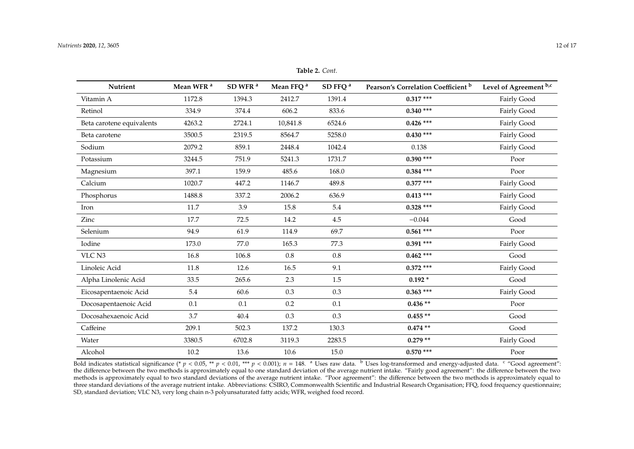| Nutrient                  | Mean WFR <sup>a</sup> | SD WFR <sup>a</sup> | Mean FFQ <sup>a</sup> | SD FFQ <sup>a</sup> | Pearson's Correlation Coefficient <sup>b</sup> | Level of Agreement b,c |
|---------------------------|-----------------------|---------------------|-----------------------|---------------------|------------------------------------------------|------------------------|
| Vitamin A                 | 1172.8                | 1394.3              | 2412.7                | 1391.4              | $0.317***$                                     | Fairly Good            |
| Retinol                   | 334.9                 | 374.4               | 606.2                 | 833.6               | $0.340$ ***                                    | Fairly Good            |
| Beta carotene equivalents | 4263.2                | 2724.1              | 10,841.8              | 6524.6              | $0.426$ ***                                    | Fairly Good            |
| Beta carotene             | 3500.5                | 2319.5              | 8564.7                | 5258.0              | $0.430$ ***                                    | Fairly Good            |
| Sodium                    | 2079.2                | 859.1               | 2448.4                | 1042.4              | 0.138                                          | Fairly Good            |
| Potassium                 | 3244.5                | 751.9               | 5241.3                | 1731.7              | $0.390$ ***                                    | Poor                   |
| Magnesium                 | 397.1                 | 159.9               | 485.6                 | 168.0               | $0.384$ ***                                    | Poor                   |
| Calcium                   | 1020.7                | 447.2               | 1146.7                | 489.8               | $0.377$ ***                                    | Fairly Good            |
| Phosphorus                | 1488.8                | 337.2               | 2006.2                | 636.9               | $0.413$ ***                                    | Fairly Good            |
| Iron                      | 11.7                  | 3.9                 | 15.8                  | 5.4                 | $0.328$ ***                                    | Fairly Good            |
| Zinc                      | 17.7                  | 72.5                | 14.2                  | 4.5                 | $-0.044$                                       | Good                   |
| Selenium                  | 94.9                  | 61.9                | 114.9                 | 69.7                | $0.561$ ***                                    | Poor                   |
| Iodine                    | 173.0                 | 77.0                | 165.3                 | 77.3                | $0.391$ ***                                    | Fairly Good            |
| VLC N3                    | 16.8                  | 106.8               | $0.8\,$               | $0.8\,$             | $0.462$ ***                                    | Good                   |
| Linoleic Acid             | 11.8                  | 12.6                | 16.5                  | 9.1                 | $0.372$ ***                                    | Fairly Good            |
| Alpha Linolenic Acid      | 33.5                  | 265.6               | 2.3                   | 1.5                 | $0.192*$                                       | Good                   |
| Eicosapentaenoic Acid     | 5.4                   | 60.6                | 0.3                   | 0.3                 | $0.363$ ***                                    | Fairly Good            |
| Docosapentaenoic Acid     | 0.1                   | 0.1                 | 0.2                   | 0.1                 | $0.436**$                                      | Poor                   |
| Docosahexaenoic Acid      | 3.7                   | $40.4\,$            | 0.3                   | 0.3                 | $0.455**$                                      | Good                   |
| Caffeine                  | 209.1                 | 502.3               | 137.2                 | 130.3               | $0.474**$                                      | Good                   |
| Water                     | 3380.5                | 6702.8              | 3119.3                | 2283.5              | $0.279**$                                      | Fairly Good            |
| Alcohol                   | 10.2                  | 13.6                | 10.6                  | 15.0                | $0.570$ ***                                    | Poor                   |

**Table 2.** *Cont.*

<span id="page-12-0"></span>Bold indicates statistical significance (\*  $p < 0.05$ , \*\*  $p < 0.01$ , \*\*\*  $p < 0.001$ );  $n = 148$ . <sup>a</sup> Uses raw data. <sup>b</sup> Uses log-transformed and energy-adjusted data. <sup>c</sup> "Good agreement": the difference between the two methods is approximately equal to one standard deviation of the average nutrient intake. "Fairly good agreement": the difference between the two methods is approximately equal to two standard deviations of the average nutrient intake. "Poor agreement": the difference between the two methods is approximately equal to three standard deviations of the average nutrient intake. Abbreviations: CSIRO, Commonwealth Scientific and Industrial Research Organisation; FFQ, food frequency questionnaire; SD, standard deviation; VLC N3, very long chain n-3 polyunsaturated fatty acids; WFR, weighed food record.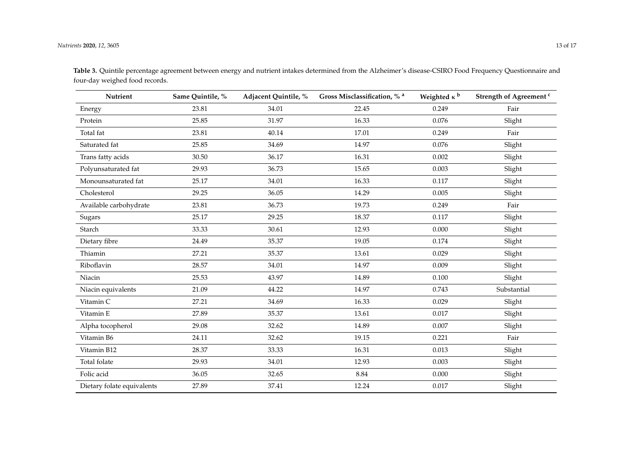| Nutrient                   | Same Quintile, % | Adjacent Quintile, % | Gross Misclassification, % <sup>a</sup> | Weighted $\kappa$ <sup>b</sup> | Strength of Agreement <sup>c</sup> |
|----------------------------|------------------|----------------------|-----------------------------------------|--------------------------------|------------------------------------|
| Energy                     | 23.81            | 34.01                | 22.45                                   | 0.249                          | Fair                               |
| Protein                    | 25.85            | 31.97                | 16.33                                   | 0.076                          | Slight                             |
| Total fat                  | 23.81            | 40.14                | 17.01                                   | 0.249                          | Fair                               |
| Saturated fat              | 25.85            | 34.69                | 14.97                                   | 0.076                          | Slight                             |
| Trans fatty acids          | 30.50            | 36.17                | 16.31                                   | 0.002                          | Slight                             |
| Polyunsaturated fat        | 29.93            | 36.73                | 15.65                                   | 0.003                          | Slight                             |
| Monounsaturated fat        | 25.17            | 34.01                | 16.33                                   | 0.117                          | Slight                             |
| Cholesterol                | 29.25            | 36.05                | 14.29                                   | 0.005                          | Slight                             |
| Available carbohydrate     | 23.81            | 36.73                | 19.73                                   | 0.249                          | Fair                               |
| Sugars                     | 25.17            | 29.25                | 18.37                                   | 0.117                          | Slight                             |
| Starch                     | 33.33            | 30.61                | 12.93                                   | 0.000                          | Slight                             |
| Dietary fibre              | 24.49            | 35.37                | 19.05                                   | 0.174                          | Slight                             |
| Thiamin                    | 27.21            | 35.37                | 13.61                                   | 0.029                          | Slight                             |
| Riboflavin                 | 28.57            | 34.01                | 14.97                                   | 0.009                          | Slight                             |
| Niacin                     | 25.53            | 43.97                | 14.89                                   | 0.100                          | Slight                             |
| Niacin equivalents         | 21.09            | 44.22                | 14.97                                   | 0.743                          | Substantial                        |
| Vitamin C                  | 27.21            | 34.69                | 16.33                                   | 0.029                          | Slight                             |
| Vitamin E                  | 27.89            | 35.37                | 13.61                                   | 0.017                          | Slight                             |
| Alpha tocopherol           | 29.08            | 32.62                | 14.89                                   | 0.007                          | Slight                             |
| Vitamin B6                 | 24.11            | 32.62                | 19.15                                   | 0.221                          | Fair                               |
| Vitamin B12                | 28.37            | 33.33                | 16.31                                   | 0.013                          | Slight                             |
| Total folate               | 29.93            | 34.01                | 12.93                                   | 0.003                          | Slight                             |
| Folic acid                 | 36.05            | 32.65                | 8.84                                    | 0.000                          | Slight                             |
| Dietary folate equivalents | 27.89            | 37.41                | 12.24                                   | 0.017                          | Slight                             |

**Table 3.** Quintile percentage agreement between energy and nutrient intakes determined from the Alzheimer's disease-CSIRO Food Frequency Questionnaire and four-day weighed food records.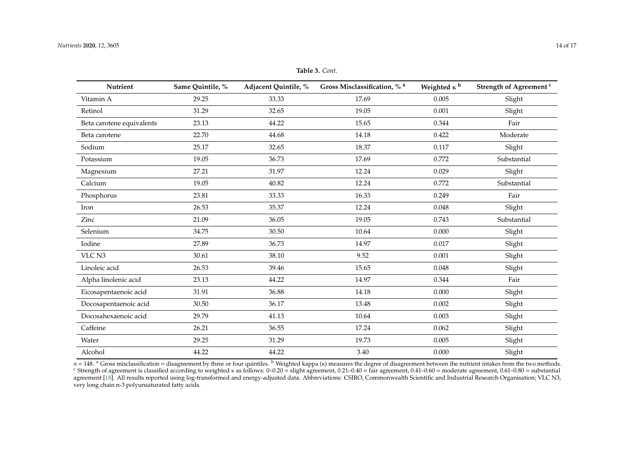| <b>Nutrient</b>           | Same Quintile, % | Adjacent Quintile, % | Gross Misclassification, % a | Weighted $\kappa$ b | Strength of Agreement <sup>c</sup> |
|---------------------------|------------------|----------------------|------------------------------|---------------------|------------------------------------|
| Vitamin A                 | 29.25            | 33.33                | 17.69                        | 0.005               | Slight                             |
| Retinol                   | 31.29            | 32.65                | 19.05                        | 0.001               | Slight                             |
| Beta carotene equivalents | 23.13            | 44.22                | 15.65                        | 0.344               | Fair                               |
| Beta carotene             | 22.70            | 44.68                | 14.18                        | 0.422               | Moderate                           |
| Sodium                    | 25.17            | 32.65                | 18.37                        | 0.117               | Slight                             |
| Potassium                 | 19.05            | 36.73                | 17.69                        | 0.772               | Substantial                        |
| Magnesium                 | 27.21            | 31.97                | 12.24                        | 0.029               | Slight                             |
| Calcium                   | 19.05            | 40.82                | 12.24                        | 0.772               | Substantial                        |
| Phosphorus                | 23.81            | 33.33                | 16.33                        | 0.249               | Fair                               |
| Iron                      | 26.53            | 35.37                | 12.24                        | 0.048               | Slight                             |
| Zinc                      | 21.09            | 36.05                | 19.05                        | 0.743               | Substantial                        |
| Selenium                  | 34.75            | 30.50                | 10.64                        | 0.000               | Slight                             |
| Iodine                    | 27.89            | 36.73                | 14.97                        | 0.017               | Slight                             |
| VLC N3                    | 30.61            | 38.10                | 9.52                         | 0.001               | Slight                             |
| Linoleic acid             | 26.53            | 39.46                | 15.65                        | 0.048               | Slight                             |
| Alpha linolenic acid      | 23.13            | 44.22                | 14.97                        | 0.344               | Fair                               |
| Eicosapentaenoic acid     | 31.91            | 36.88                | 14.18                        | 0.000               | Slight                             |
| Docosapentaenoic acid     | 30.50            | 36.17                | 13.48                        | 0.002               | Slight                             |
| Docosahexaenoic acid      | 29.79            | 41.13                | 10.64                        | 0.003               | Slight                             |
| Caffeine                  | 26.21            | 36.55                | 17.24                        | 0.062               | Slight                             |
| Water                     | 29.25            | 31.29                | 19.73                        | 0.005               | Slight                             |
| Alcohol                   | 44.22            | 44.22                | 3.40                         | 0.000               | Slight                             |

**Table 3.** *Cont.*

<span id="page-14-0"></span> $n = 148$ . <sup>a</sup> Gross misclassification = disagreement by three or four quintiles. <sup>b</sup> Weighted kappa (κ) measures the degree of disagreement between the nutrient intakes from the two methods. <sup>c</sup> Strength of agreement is classified according to weighted k as follows:  $0.920 =$  slight agreement,  $0.21-0.40 =$  fair agreement,  $0.41-0.60 =$  moderate agreement,  $0.61-0.80 =$  substantial agreement [\[18\]](#page-17-8). All results reported using log-transformed and energy-adjusted data. Abbreviations: CSIRO, Commonwealth Scientific and Industrial Research Organisation; VLC N3, very long chain n-3 polyunsaturated fatty acids.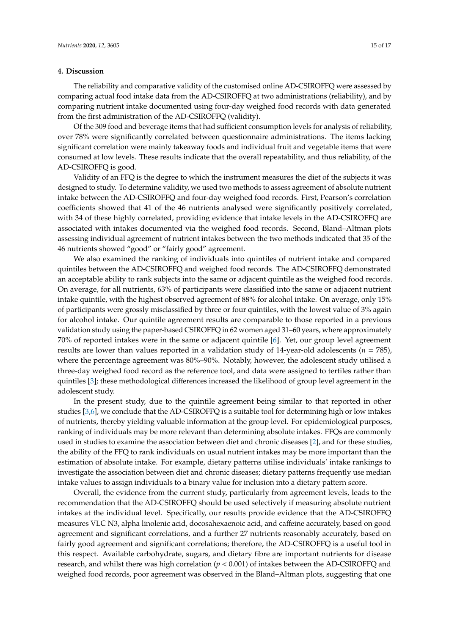#### **4. Discussion**

The reliability and comparative validity of the customised online AD-CSIROFFQ were assessed by comparing actual food intake data from the AD-CSIROFFQ at two administrations (reliability), and by comparing nutrient intake documented using four-day weighed food records with data generated from the first administration of the AD-CSIROFFQ (validity).

Of the 309 food and beverage items that had sufficient consumption levels for analysis of reliability, over 78% were significantly correlated between questionnaire administrations. The items lacking significant correlation were mainly takeaway foods and individual fruit and vegetable items that were consumed at low levels. These results indicate that the overall repeatability, and thus reliability, of the AD-CSIROFFQ is good.

Validity of an FFQ is the degree to which the instrument measures the diet of the subjects it was designed to study. To determine validity, we used two methods to assess agreement of absolute nutrient intake between the AD-CSIROFFQ and four-day weighed food records. First, Pearson's correlation coefficients showed that 41 of the 46 nutrients analysed were significantly positively correlated, with 34 of these highly correlated, providing evidence that intake levels in the AD-CSIROFFQ are associated with intakes documented via the weighed food records. Second, Bland–Altman plots assessing individual agreement of nutrient intakes between the two methods indicated that 35 of the 46 nutrients showed "good" or "fairly good" agreement.

We also examined the ranking of individuals into quintiles of nutrient intake and compared quintiles between the AD-CSIROFFQ and weighed food records. The AD-CSIROFFQ demonstrated an acceptable ability to rank subjects into the same or adjacent quintile as the weighed food records. On average, for all nutrients, 63% of participants were classified into the same or adjacent nutrient intake quintile, with the highest observed agreement of 88% for alcohol intake. On average, only 15% of participants were grossly misclassified by three or four quintiles, with the lowest value of 3% again for alcohol intake. Our quintile agreement results are comparable to those reported in a previous validation study using the paper-based CSIROFFQ in 62 women aged 31–60 years, where approximately 70% of reported intakes were in the same or adjacent quintile [\[6\]](#page-17-0). Yet, our group level agreement results are lower than values reported in a validation study of 14-year-old adolescents ( $n = 785$ ), where the percentage agreement was 80%–90%. Notably, however, the adolescent study utilised a three-day weighed food record as the reference tool, and data were assigned to tertiles rather than quintiles [\[3\]](#page-16-2); these methodological differences increased the likelihood of group level agreement in the adolescent study.

In the present study, due to the quintile agreement being similar to that reported in other studies [\[3](#page-16-2)[,6\]](#page-17-0), we conclude that the AD-CSIROFFQ is a suitable tool for determining high or low intakes of nutrients, thereby yielding valuable information at the group level. For epidemiological purposes, ranking of individuals may be more relevant than determining absolute intakes. FFQs are commonly used in studies to examine the association between diet and chronic diseases [\[2\]](#page-16-1), and for these studies, the ability of the FFQ to rank individuals on usual nutrient intakes may be more important than the estimation of absolute intake. For example, dietary patterns utilise individuals' intake rankings to investigate the association between diet and chronic diseases; dietary patterns frequently use median intake values to assign individuals to a binary value for inclusion into a dietary pattern score.

Overall, the evidence from the current study, particularly from agreement levels, leads to the recommendation that the AD-CSIROFFQ should be used selectively if measuring absolute nutrient intakes at the individual level. Specifically, our results provide evidence that the AD-CSIROFFQ measures VLC N3, alpha linolenic acid, docosahexaenoic acid, and caffeine accurately, based on good agreement and significant correlations, and a further 27 nutrients reasonably accurately, based on fairly good agreement and significant correlations; therefore, the AD-CSIROFFQ is a useful tool in this respect. Available carbohydrate, sugars, and dietary fibre are important nutrients for disease research, and whilst there was high correlation (*p* < 0.001) of intakes between the AD-CSIROFFQ and weighed food records, poor agreement was observed in the Bland–Altman plots, suggesting that one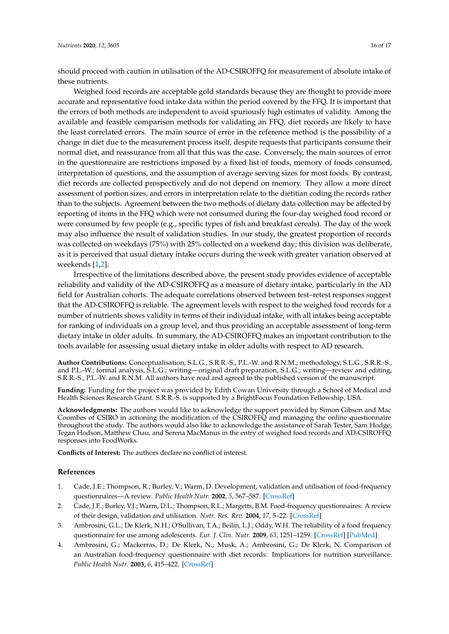should proceed with caution in utilisation of the AD-CSIROFFQ for measurement of absolute intake of these nutrients.

Weighed food records are acceptable gold standards because they are thought to provide more accurate and representative food intake data within the period covered by the FFQ. It is important that the errors of both methods are independent to avoid spuriously high estimates of validity. Among the available and feasible comparison methods for validating an FFQ, diet records are likely to have the least correlated errors. The main source of error in the reference method is the possibility of a change in diet due to the measurement process itself, despite requests that participants consume their normal diet, and reassurance from all that this was the case. Conversely, the main sources of error in the questionnaire are restrictions imposed by a fixed list of foods, memory of foods consumed, interpretation of questions, and the assumption of average serving sizes for most foods. By contrast, diet records are collected prospectively and do not depend on memory. They allow a more direct assessment of portion sizes, and errors in interpretation relate to the dietitian coding the records rather than to the subjects. Agreement between the two methods of dietary data collection may be affected by reporting of items in the FFQ which were not consumed during the four-day weighed food record or were consumed by few people (e.g., specific types of fish and breakfast cereals). The day of the week may also influence the result of validation studies. In our study, the greatest proportion of records was collected on weekdays (75%) with 25% collected on a weekend day; this division was deliberate, as it is perceived that usual dietary intake occurs during the week with greater variation observed at weekends [\[1,](#page-16-0)[2\]](#page-16-1).

Irrespective of the limitations described above, the present study provides evidence of acceptable reliability and validity of the AD-CSIROFFQ as a measure of dietary intake, particularly in the AD field for Australian cohorts. The adequate correlations observed between test–retest responses suggest that the AD-CSIROFFQ is reliable. The agreement levels with respect to the weighed food records for a number of nutrients shows validity in terms of their individual intake, with all intakes being acceptable for ranking of individuals on a group level, and thus providing an acceptable assessment of long-term dietary intake in older adults. In summary, the AD-CSIROFFQ makes an important contribution to the tools available for assessing usual dietary intake in older adults with respect to AD research.

**Author Contributions:** Conceptualisation, S.L.G., S.R.R.-S., P.L.-W. and R.N.M.; methodology, S.L.G., S.R.R.-S., and P.L.-W.; formal analysis, S.L.G.; writing—original draft preparation, S.L.G.; writing—review and editing, S.R.R.-S., P.L.-W. and R.N.M. All authors have read and agreed to the published version of the manuscript.

**Funding:** Funding for the project was provided by Edith Cowan University through a School of Medical and Health Sciences Research Grant. S.R.R.-S. is supported by a BrightFocus Foundation Fellowship, USA.

**Acknowledgments:** The authors would like to acknowledge the support provided by Simon Gibson and Mac Coombes of CSIRO in actioning the modification of the CSIROFFQ and managing the online questionnaire throughout the study. The authors would also like to acknowledge the assistance of Sarah Tester, Sam Hodge, Tegan Hodson, Matthew Chau, and Serena MacManus in the entry of weighed food records and AD-CSIROFFQ responses into FoodWorks.

**Conflicts of Interest:** The authors declare no conflict of interest.

#### **References**

- <span id="page-16-0"></span>1. Cade, J.E.; Thompson, R.; Burley, V.; Warm, D. Development, validation and utilisation of food-frequency questionnaires—A review. *Public Health Nutr.* **2002**, *5*, 567–587. [\[CrossRef\]](http://dx.doi.org/10.1079/PHN2001318)
- <span id="page-16-1"></span>2. Cade, J.E.; Burley, V.J.; Warm, D.L.; Thompson, R.L.; Margetts, B.M. Food-frequency questionnaires: A review of their design, validation and utilisation. *Nutr. Res. Rev.* **2004**, *17*, 5–22. [\[CrossRef\]](http://dx.doi.org/10.1079/NRR200370)
- <span id="page-16-2"></span>3. Ambrosini, G.L.; De Klerk, N.H.; O'Sullivan, T.A.; Beilin, L.J.; Oddy, W.H. The reliability of a food frequency questionnaire for use among adolescents. *Eur. J. Clin. Nutr.* **2009**, *63*, 1251–1259. [\[CrossRef\]](http://dx.doi.org/10.1038/ejcn.2009.44) [\[PubMed\]](http://www.ncbi.nlm.nih.gov/pubmed/19550427)
- 4. Ambrosini, G.; Mackerras, D.; De Klerk, N.; Musk, A.; Ambrosini, G.; De Klerk, N. Comparison of an Australian food-frequency questionnaire with diet records: Implications for nutrition surveillance. *Public Health Nutr.* **2003**, *6*, 415–422. [\[CrossRef\]](http://dx.doi.org/10.1079/PHN2002434)